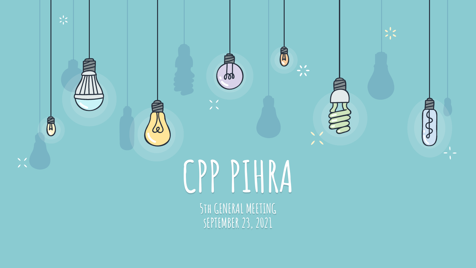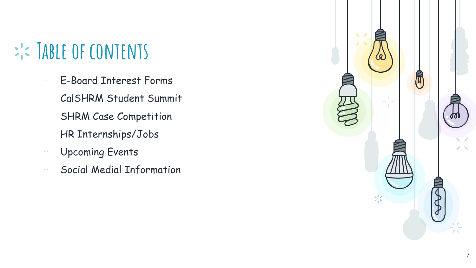## **TABLE OF CONTENTS**

- ⊹ E-Board Interest Forms
- ⊹ CalSHRM Student Summit
- ⊹ SHRM Case Competition
- ⊹ HR Internships/Jobs
- ⊹ Upcoming Events
- ⊹ Social Medial Information

| $\mathcal{L}$ | 园<br><b>920</b>               |
|---------------|-------------------------------|
|               | $\overline{\mathcal{E}}$<br>N |

2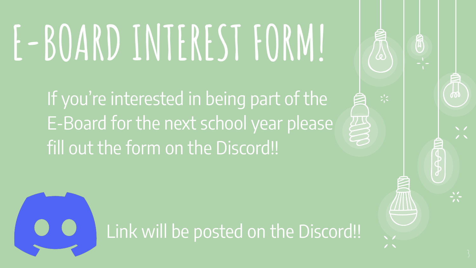# **E-BOARD INTEREST FORM!**

If you're interested in being part of the E-Board for the next school year please fill out the form on the Discord!!

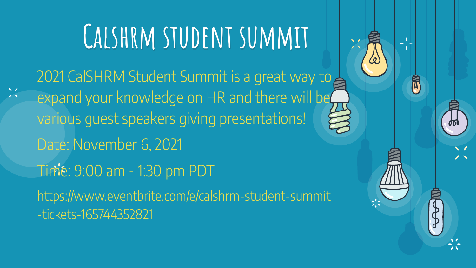# **Calshrm student summit**

 $-\frac{1}{2}$ 

2021 CalSHRM Student Summit is a great way to  $\frac{1}{2}$ expand your knowledge on HR and there will be various guest speakers giving presentations! Date: November 6, 2021 Time: 9:00 am - 1:30 pm PDT https://www.eventbrite.com/e/calshrm-student-summit -tickets-165744352821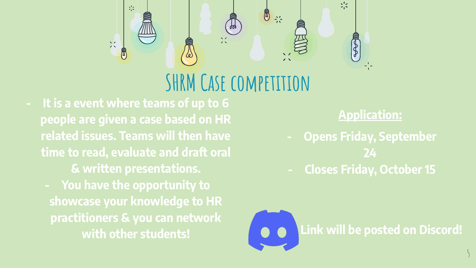

### **SHRM Case competition**

- **- It is a event where teams of up to 6 people are given a case based on HR related issues. Teams will then have time to read, evaluate and draft oral & written presentations.**
	- **- You have the opportunity to showcase your knowledge to HR practitioners & you can network with other students!**

#### **Application:**

- **- Opens Friday, September 24**
- **- Closes Friday, October 15**

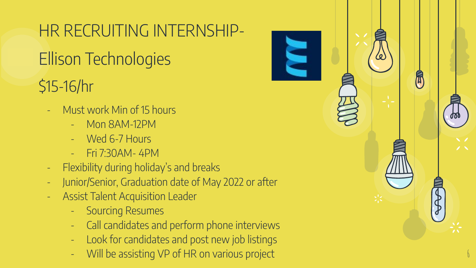HR RECRUITING INTERNSHIP-Ellison Technologies \$15-16/hr

- Must work Min of 15 hours
	- Mon 8AM-12PM
	- Wed 6-7 Hours
	- Fri 7:30AM- 4PM
- Flexibility during holiday's and breaks
- Junior/Senior, Graduation date of May 2022 or after
- Assist Talent Acquisition Leader
	- Sourcing Resumes
	- Call candidates and perform phone interviews
	- Look for candidates and post new job listings
	- Will be assisting VP of HR on various project

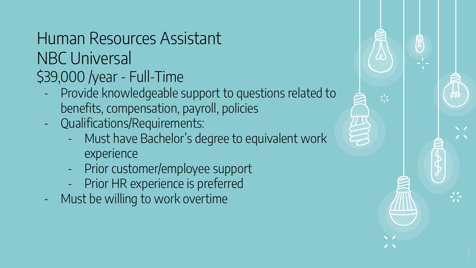#### Human Resources Assistant NBC Universal \$39,000 /year - Full-Time

- Provide knowledgeable support to questions related to benefits, compensation, payroll, policies
- Qualifications/Requirements:
	- Must have Bachelor's degree to equivalent work experience
	- Prior customer/employee support
	- Prior HR experience is preferred
- Must be willing to work overtime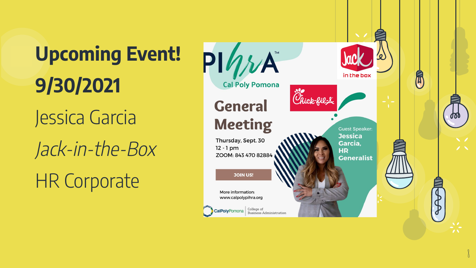**" Upcoming Event! 9/30/2021** Jessica Garcia Jack-in-the-Box HR Corporate



8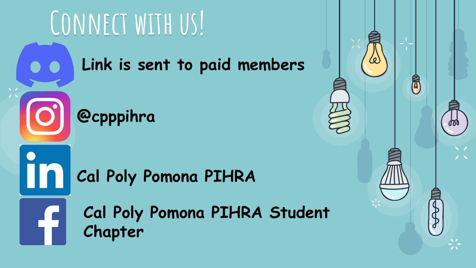# CONNECT WITH US!

#### **Link is sent to paid members**

**@cpppihra**

**Cal Poly Pomona PIHRA**

**Cal Poly Pomona PIHRA Student Chapter**